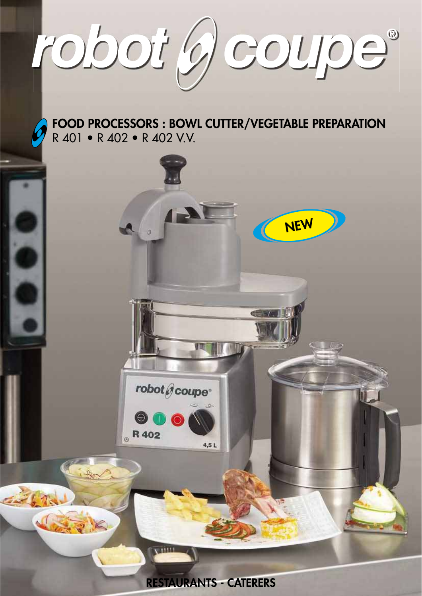robot g coupe®

## FOOD PROCESSORS : BOWL CUTTER/VEGETABLE PREPARATION R 401 • R 402 • R 402 V.V.

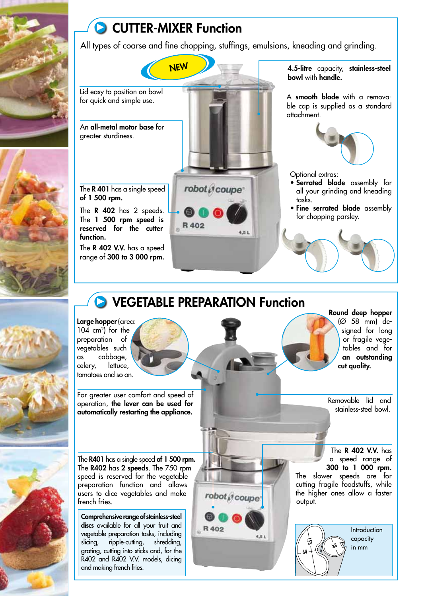

# **CUTTER-MIXER Function**

All types of coarse and fine chopping, stuffings, emulsions, kneading and grinding.

Lid easy to position on bowl for quick and simple use.

An all-metal motor base for greater sturdiness.

The R 401 has a single speed of 1 500 rpm.

The  $\mathsf R$  402 has 2 speeds. The 1 500 rpm speed is reserved for the cutter function.

The **R 402 V.V.** has a speed range of 300 to 3 000 rpm.



 $4.51$ 

robot @coupe

4.51

R 402

4.5-litre capacity, stainless-steel bowl with handle.

A smooth blade with a removable cap is supplied as a standard attachment.



Optional extras:

- · Serrated blade assembly for all your grinding and kneading tasks.
- · Fine serrated blade assembly for chopping parsley.

## **O VEGETABLE PREPARATION Function**

R 402

Large hopper (area:  $104$  cm<sup>2</sup>) for the preparation of vegetables such cabbaae, as lettuce. celery, tomatoes and so on.

For areater user comfort and speed of operation, the lever can be used for automatically restarting the appliance.

The R401 has a single speed of 1 500 rpm.

The R402 has 2 speeds. The 750 rpm speed is reserved for the vegetable preparation function and allows users to dice vegetables and make french fries.

Comprehensive range of stainless-steel discs available for all your fruit and vegetable preparation tasks, including ripple-cutting, shredding, slicina, grating, cutting into sticks and, for the R402 and R402 V.V. models, dicing and making french fries.

Removable lid and

cut quality.

Round deep hopper

(Ø 58 mm) de-

signed for long

or fragile vege-

tables and for an outstandina

stainless-steel bowl.

The **R 402 V.V.** has a speed range of 300 to 1 000 rpm. The slower speeds are for cutting fragile foodstuffs, while the higher ones allow a faster output.

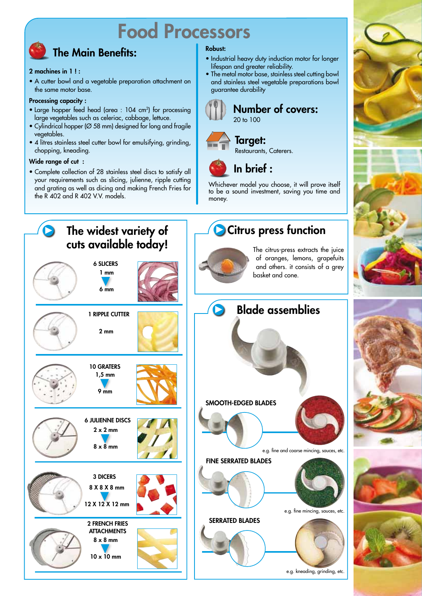# **Food Processors**

## **The Main Benefits:**

#### 2 machines in 1!:

• A cutter bowl and a vegetable preparation attachment on the same motor base.

#### **Processing capacity:**

- Large hopper feed head (area : 104 cm<sup>2</sup>) for processing large vegetables such as celeriac, cabbage, lettuce.
- · Cylindrical hopper (Ø 58 mm) designed for long and fragile vegetables.
- 4 litres stainless steel cutter bowl for emulsifying, grinding, chopping, kneading.

#### Wide range of cut :

· Complete collection of 28 stainless steel discs to satisfy all your requirements such as slicing, julienne, ripple cutting and grating as well as dicing and making French Fries for the R 402 and R 402 V.V. models.

#### **Robust:**

- · Industrial heavy duty induction motor for longer lifespan and greater reliability.
- The metal motor base, stainless steel cutting bowl and stainless steel vegetable preparations bowl guarantee durability



#### **Number of covers:**  $20 \text{ to } 100$



### **Taraet:**



In brief:

Whichever model you choose, it will prove itself to be a sound investment, saving you time and